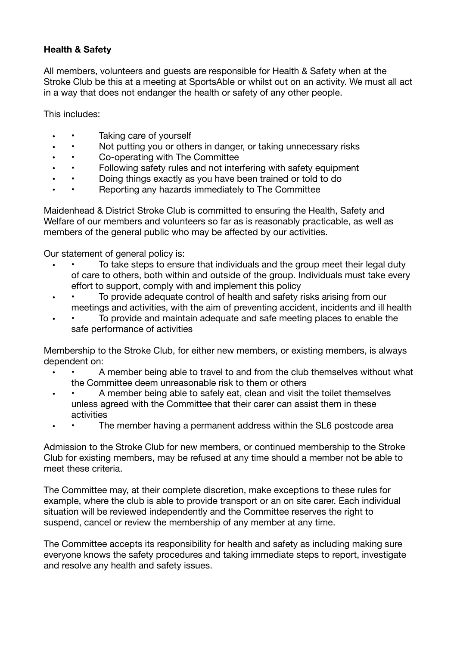# **Health & Safety**

All members, volunteers and guests are responsible for Health & Safety when at the Stroke Club be this at a meeting at SportsAble or whilst out on an activity. We must all act in a way that does not endanger the health or safety of any other people.

This includes:

- Taking care of yourself
- Not putting you or others in danger, or taking unnecessary risks
- Co-operating with The Committee<br>• Following safety rules and not inter-
- Following safety rules and not interfering with safety equipment
- Doing things exactly as you have been trained or told to do
- Reporting any hazards immediately to The Committee

Maidenhead & District Stroke Club is committed to ensuring the Health, Safety and Welfare of our members and volunteers so far as is reasonably practicable, as well as members of the general public who may be affected by our activities.

Our statement of general policy is:

- To take steps to ensure that individuals and the group meet their legal duty of care to others, both within and outside of the group. Individuals must take every effort to support, comply with and implement this policy
- To provide adequate control of health and safety risks arising from our meetings and activities, with the aim of preventing accident, incidents and ill health
- To provide and maintain adequate and safe meeting places to enable the safe performance of activities

Membership to the Stroke Club, for either new members, or existing members, is always dependent on:

- • A member being able to travel to and from the club themselves without what the Committee deem unreasonable risk to them or others
- A member being able to safely eat, clean and visit the toilet themselves unless agreed with the Committee that their carer can assist them in these activities
- The member having a permanent address within the SL6 postcode area

Admission to the Stroke Club for new members, or continued membership to the Stroke Club for existing members, may be refused at any time should a member not be able to meet these criteria.

The Committee may, at their complete discretion, make exceptions to these rules for example, where the club is able to provide transport or an on site carer. Each individual situation will be reviewed independently and the Committee reserves the right to suspend, cancel or review the membership of any member at any time.

The Committee accepts its responsibility for health and safety as including making sure everyone knows the safety procedures and taking immediate steps to report, investigate and resolve any health and safety issues.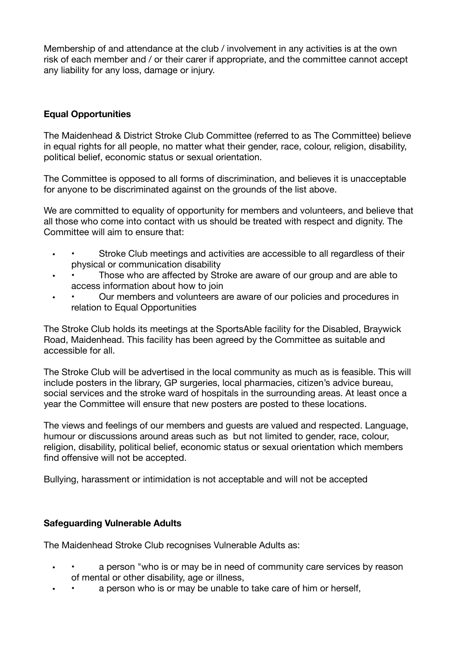Membership of and attendance at the club / involvement in any activities is at the own risk of each member and / or their carer if appropriate, and the committee cannot accept any liability for any loss, damage or injury.

## **Equal Opportunities**

The Maidenhead & District Stroke Club Committee (referred to as The Committee) believe in equal rights for all people, no matter what their gender, race, colour, religion, disability, political belief, economic status or sexual orientation.

The Committee is opposed to all forms of discrimination, and believes it is unacceptable for anyone to be discriminated against on the grounds of the list above.

We are committed to equality of opportunity for members and volunteers, and believe that all those who come into contact with us should be treated with respect and dignity. The Committee will aim to ensure that:

- Stroke Club meetings and activities are accessible to all regardless of their physical or communication disability
- Those who are affected by Stroke are aware of our group and are able to access information about how to join
- Our members and volunteers are aware of our policies and procedures in relation to Equal Opportunities

The Stroke Club holds its meetings at the SportsAble facility for the Disabled, Braywick Road, Maidenhead. This facility has been agreed by the Committee as suitable and accessible for all.

The Stroke Club will be advertised in the local community as much as is feasible. This will include posters in the library, GP surgeries, local pharmacies, citizen's advice bureau, social services and the stroke ward of hospitals in the surrounding areas. At least once a year the Committee will ensure that new posters are posted to these locations.

The views and feelings of our members and guests are valued and respected. Language, humour or discussions around areas such as but not limited to gender, race, colour, religion, disability, political belief, economic status or sexual orientation which members find offensive will not be accepted.

Bullying, harassment or intimidation is not acceptable and will not be accepted

### **Safeguarding Vulnerable Adults**

The Maidenhead Stroke Club recognises Vulnerable Adults as:

- a person "who is or may be in need of community care services by reason of mental or other disability, age or illness,
- a person who is or may be unable to take care of him or herself,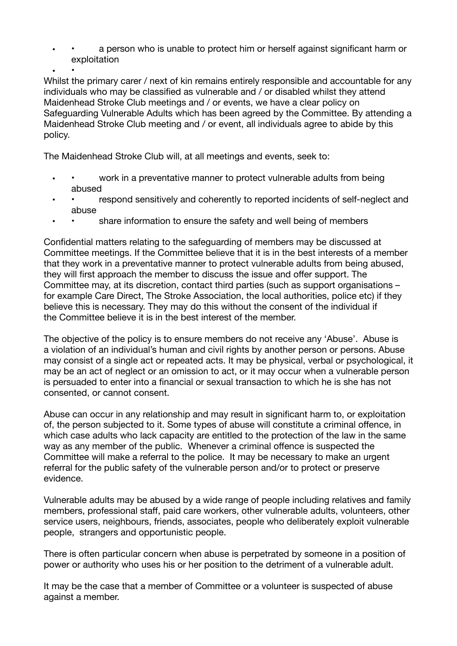a person who is unable to protect him or herself against significant harm or exploitation

• • Whilst the primary carer / next of kin remains entirely responsible and accountable for any individuals who may be classified as vulnerable and / or disabled whilst they attend Maidenhead Stroke Club meetings and / or events, we have a clear policy on Safeguarding Vulnerable Adults which has been agreed by the Committee. By attending a Maidenhead Stroke Club meeting and / or event, all individuals agree to abide by this policy.

The Maidenhead Stroke Club will, at all meetings and events, seek to:

- • work in a preventative manner to protect vulnerable adults from being abused
- respond sensitively and coherently to reported incidents of self-neglect and abuse
- share information to ensure the safety and well being of members

Confidential matters relating to the safeguarding of members may be discussed at Committee meetings. If the Committee believe that it is in the best interests of a member that they work in a preventative manner to protect vulnerable adults from being abused, they will first approach the member to discuss the issue and offer support. The Committee may, at its discretion, contact third parties (such as support organisations – for example Care Direct, The Stroke Association, the local authorities, police etc) if they believe this is necessary. They may do this without the consent of the individual if the Committee believe it is in the best interest of the member.

The objective of the policy is to ensure members do not receive any 'Abuse'. Abuse is a violation of an individual's human and civil rights by another person or persons. Abuse may consist of a single act or repeated acts. It may be physical, verbal or psychological, it may be an act of neglect or an omission to act, or it may occur when a vulnerable person is persuaded to enter into a financial or sexual transaction to which he is she has not consented, or cannot consent.

Abuse can occur in any relationship and may result in significant harm to, or exploitation of, the person subjected to it. Some types of abuse will constitute a criminal offence, in which case adults who lack capacity are entitled to the protection of the law in the same way as any member of the public. Whenever a criminal offence is suspected the Committee will make a referral to the police. It may be necessary to make an urgent referral for the public safety of the vulnerable person and/or to protect or preserve evidence.

Vulnerable adults may be abused by a wide range of people including relatives and family members, professional staff, paid care workers, other vulnerable adults, volunteers, other service users, neighbours, friends, associates, people who deliberately exploit vulnerable people, strangers and opportunistic people.

There is often particular concern when abuse is perpetrated by someone in a position of power or authority who uses his or her position to the detriment of a vulnerable adult.

It may be the case that a member of Committee or a volunteer is suspected of abuse against a member.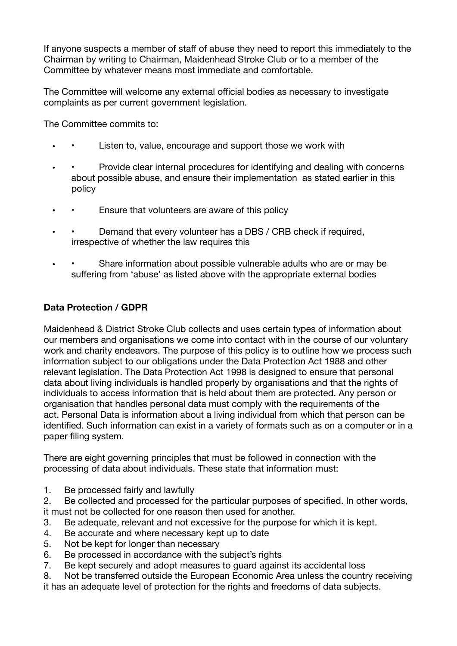If anyone suspects a member of staff of abuse they need to report this immediately to the Chairman by writing to Chairman, Maidenhead Stroke Club or to a member of the Committee by whatever means most immediate and comfortable.

The Committee will welcome any external official bodies as necessary to investigate complaints as per current government legislation.

The Committee commits to:

- Listen to, value, encourage and support those we work with
- Provide clear internal procedures for identifying and dealing with concerns about possible abuse, and ensure their implementation as stated earlier in this policy
- Ensure that volunteers are aware of this policy
- Demand that every volunteer has a DBS / CRB check if required, irrespective of whether the law requires this
- • Share information about possible vulnerable adults who are or may be suffering from 'abuse' as listed above with the appropriate external bodies

# **Data Protection / GDPR**

Maidenhead & District Stroke Club collects and uses certain types of information about our members and organisations we come into contact with in the course of our voluntary work and charity endeavors. The purpose of this policy is to outline how we process such information subject to our obligations under the Data Protection Act 1988 and other relevant legislation. The Data Protection Act 1998 is designed to ensure that personal data about living individuals is handled properly by organisations and that the rights of individuals to access information that is held about them are protected. Any person or organisation that handles personal data must comply with the requirements of the act. Personal Data is information about a living individual from which that person can be identified. Such information can exist in a variety of formats such as on a computer or in a paper filing system.

There are eight governing principles that must be followed in connection with the processing of data about individuals. These state that information must:

1. Be processed fairly and lawfully

2. Be collected and processed for the particular purposes of specified. In other words, it must not be collected for one reason then used for another.

- 3. Be adequate, relevant and not excessive for the purpose for which it is kept.
- 4. Be accurate and where necessary kept up to date
- 5. Not be kept for longer than necessary
- 6. Be processed in accordance with the subject's rights
- 7. Be kept securely and adopt measures to guard against its accidental loss
- 8. Not be transferred outside the European Economic Area unless the country receiving it has an adequate level of protection for the rights and freedoms of data subjects.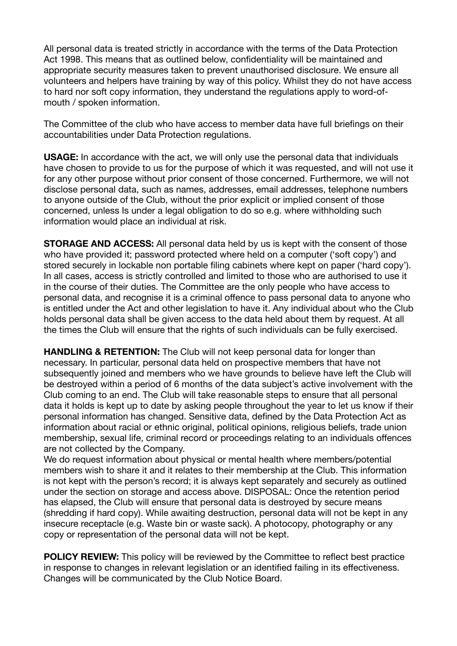All personal data is treated strictly in accordance with the terms of the Data Protection Act 1998. This means that as outlined below, confidentiality will be maintained and appropriate security measures taken to prevent unauthorised disclosure. We ensure all volunteers and helpers have training by way of this policy. Whilst they do not have access to hard nor soft copy information, they understand the regulations apply to word-ofmouth / spoken information.

The Committee of the club who have access to member data have full briefings on their accountabilities under Data Protection regulations.

**USAGE:** In accordance with the act, we will only use the personal data that individuals have chosen to provide to us for the purpose of which it was requested, and will not use it for any other purpose without prior consent of those concerned. Furthermore, we will not disclose personal data, such as names, addresses, email addresses, telephone numbers to anyone outside of the Club, without the prior explicit or implied consent of those concerned, unless Is under a legal obligation to do so e.g. where withholding such information would place an individual at risk.

**STORAGE AND ACCESS:** All personal data held by us is kept with the consent of those who have provided it; password protected where held on a computer ('soft copy') and stored securely in lockable non portable filing cabinets where kept on paper ('hard copy'). In all cases, access is strictly controlled and limited to those who are authorised to use it in the course of their duties. The Committee are the only people who have access to personal data, and recognise it is a criminal offence to pass personal data to anyone who is entitled under the Act and other legislation to have it. Any individual about who the Club holds personal data shall be given access to the data held about them by request. At all the times the Club will ensure that the rights of such individuals can be fully exercised.

**HANDLING & RETENTION:** The Club will not keep personal data for longer than necessary. In particular, personal data held on prospective members that have not subsequently joined and members who we have grounds to believe have left the Club will be destroyed within a period of 6 months of the data subject's active involvement with the Club coming to an end. The Club will take reasonable steps to ensure that all personal data it holds is kept up to date by asking people throughout the year to let us know if their personal information has changed. Sensitive data, defined by the Data Protection Act as information about racial or ethnic original, political opinions, religious beliefs, trade union membership, sexual life, criminal record or proceedings relating to an individuals offences are not collected by the Company.

We do request information about physical or mental health where members/potential members wish to share it and it relates to their membership at the Club. This information is not kept with the person's record; it is always kept separately and securely as outlined under the section on storage and access above. DISPOSAL: Once the retention period has elapsed, the Club will ensure that personal data is destroyed by secure means (shredding if hard copy). While awaiting destruction, personal data will not be kept in any insecure receptacle (e.g. Waste bin or waste sack). A photocopy, photography or any copy or representation of the personal data will not be kept.

**POLICY REVIEW:** This policy will be reviewed by the Committee to reflect best practice in response to changes in relevant legislation or an identified failing in its effectiveness. Changes will be communicated by the Club Notice Board.